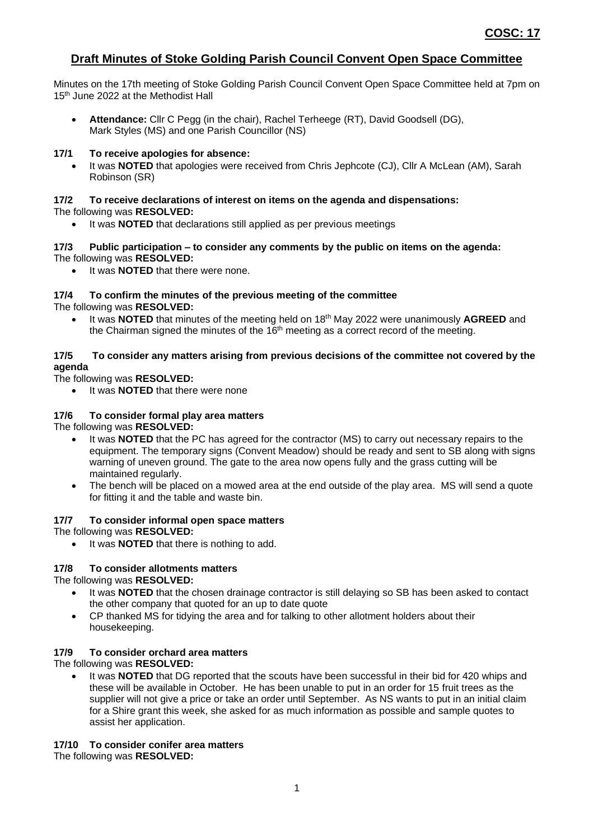## **Draft Minutes of Stoke Golding Parish Council Convent Open Space Committee**

Minutes on the 17th meeting of Stoke Golding Parish Council Convent Open Space Committee held at 7pm on 15<sup>th</sup> June 2022 at the Methodist Hall

• **Attendance:** Cllr C Pegg (in the chair), Rachel Terheege (RT), David Goodsell (DG), Mark Styles (MS) and one Parish Councillor (NS)

#### **17/1 To receive apologies for absence:**

• It was **NOTED** that apologies were received from Chris Jephcote (CJ), Cllr A McLean (AM), Sarah Robinson (SR)

# **17/2 To receive declarations of interest on items on the agenda and dispensations:**

## The following was **RESOLVED:**

• It was **NOTED** that declarations still applied as per previous meetings

#### **17/3 Public participation – to consider any comments by the public on items on the agenda:** The following was **RESOLVED:**

It was **NOTED** that there were none.

#### **17/4 To confirm the minutes of the previous meeting of the committee** The following was **RESOLVED:**

• It was **NOTED** that minutes of the meeting held on 18th May 2022 were unanimously **AGREED** and the Chairman signed the minutes of the 16<sup>th</sup> meeting as a correct record of the meeting.

#### **17/5 To consider any matters arising from previous decisions of the committee not covered by the agenda**

#### The following was **RESOLVED:**

• It was **NOTED** that there were none

### **17/6 To consider formal play area matters**

The following was **RESOLVED:**

- It was **NOTED** that the PC has agreed for the contractor (MS) to carry out necessary repairs to the equipment. The temporary signs (Convent Meadow) should be ready and sent to SB along with signs warning of uneven ground. The gate to the area now opens fully and the grass cutting will be maintained regularly.
- The bench will be placed on a mowed area at the end outside of the play area. MS will send a quote for fitting it and the table and waste bin.

#### **17/7 To consider informal open space matters**

The following was **RESOLVED:**

It was **NOTED** that there is nothing to add.

#### **17/8 To consider allotments matters**

The following was **RESOLVED:**

- It was **NOTED** that the chosen drainage contractor is still delaying so SB has been asked to contact the other company that quoted for an up to date quote
- CP thanked MS for tidying the area and for talking to other allotment holders about their housekeeping.

#### **17/9 To consider orchard area matters** The following was **RESOLVED:**

It was **NOTED** that DG reported that the scouts have been successful in their bid for 420 whips and these will be available in October. He has been unable to put in an order for 15 fruit trees as the supplier will not give a price or take an order until September. As NS wants to put in an initial claim for a Shire grant this week, she asked for as much information as possible and sample quotes to assist her application.

#### **17/10 To consider conifer area matters**

The following was **RESOLVED:**